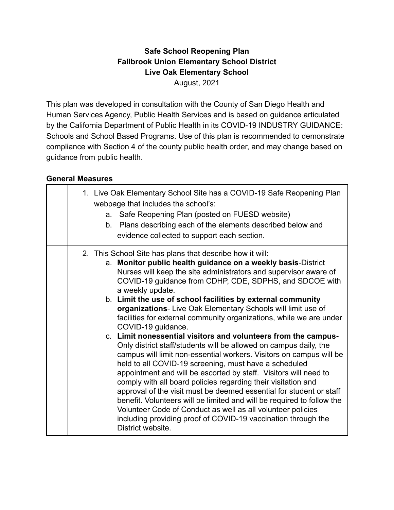### **Safe School Reopening Plan Fallbrook Union Elementary School District Live Oak Elementary School** August, 2021

This plan was developed in consultation with the County of San Diego Health and Human Services Agency, Public Health Services and is based on guidance articulated by the California Department of Public Health in its COVID-19 INDUSTRY GUIDANCE: Schools and School Based Programs. Use of this plan is recommended to demonstrate compliance with Section 4 of the county public health order, and may change based on guidance from public health.

#### **General Measures**

| 1. Live Oak Elementary School Site has a COVID-19 Safe Reopening Plan<br>webpage that includes the school's:<br>a. Safe Reopening Plan (posted on FUESD website)<br>b. Plans describing each of the elements described below and<br>evidence collected to support each section.                                                                                                                                                                                                                                                                                                                                                                                                                                                                                                                                                                                                                                                                                                                                                                                                                                                                                                                                           |
|---------------------------------------------------------------------------------------------------------------------------------------------------------------------------------------------------------------------------------------------------------------------------------------------------------------------------------------------------------------------------------------------------------------------------------------------------------------------------------------------------------------------------------------------------------------------------------------------------------------------------------------------------------------------------------------------------------------------------------------------------------------------------------------------------------------------------------------------------------------------------------------------------------------------------------------------------------------------------------------------------------------------------------------------------------------------------------------------------------------------------------------------------------------------------------------------------------------------------|
| 2. This School Site has plans that describe how it will:<br>a. Monitor public health guidance on a weekly basis-District<br>Nurses will keep the site administrators and supervisor aware of<br>COVID-19 guidance from CDHP, CDE, SDPHS, and SDCOE with<br>a weekly update.<br>b. Limit the use of school facilities by external community<br>organizations- Live Oak Elementary Schools will limit use of<br>facilities for external community organizations, while we are under<br>COVID-19 guidance.<br>c. Limit nonessential visitors and volunteers from the campus-<br>Only district staff/students will be allowed on campus daily, the<br>campus will limit non-essential workers. Visitors on campus will be<br>held to all COVID-19 screening, must have a scheduled<br>appointment and will be escorted by staff. Visitors will need to<br>comply with all board policies regarding their visitation and<br>approval of the visit must be deemed essential for student or staff<br>benefit. Volunteers will be limited and will be required to follow the<br>Volunteer Code of Conduct as well as all volunteer policies<br>including providing proof of COVID-19 vaccination through the<br>District website. |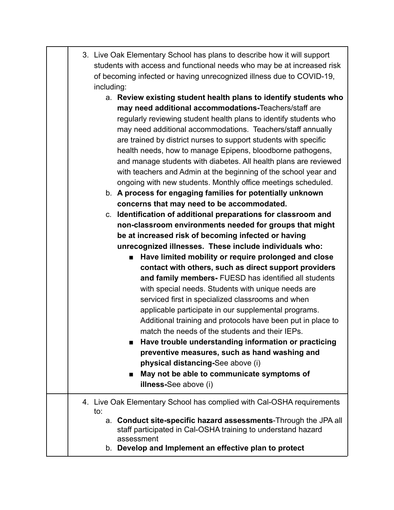| 3. Live Oak Elementary School has plans to describe how it will support |  |  |
|-------------------------------------------------------------------------|--|--|
| students with access and functional needs who may be at increased risk  |  |  |
| of becoming infected or having unrecognized illness due to COVID-19,    |  |  |
| including:                                                              |  |  |

- a. **Review existing student health plans to identify students who may need additional accommodations-**Teachers/staff are regularly reviewing student health plans to identify students who may need additional accommodations. Teachers/staff annually are trained by district nurses to support students with specific health needs, how to manage Epipens, bloodborne pathogens, and manage students with diabetes. All health plans are reviewed with teachers and Admin at the beginning of the school year and ongoing with new students. Monthly office meetings scheduled.
- b. **A process for engaging families for potentially unknown concerns that may need to be accommodated.**

c. **Identification of additional preparations for classroom and non-classroom environments needed for groups that might be at increased risk of becoming infected or having unrecognized illnesses. These include individuals who:**

> ■ **Have limited mobility or require prolonged and close contact with others, such as direct support providers and family members-** FUESD has identified all students with special needs. Students with unique needs are serviced first in specialized classrooms and when applicable participate in our supplemental programs. Additional training and protocols have been put in place to match the needs of the students and their IEPs.

> **■ Have trouble understanding information or practicing preventive measures, such as hand washing and physical distancing-**See above (i)

■ May not be able to communicate symptoms of **illness-**See above (i)

# 4. Live Oak Elementary School has complied with Cal-OSHA requirements to:

- a. **Conduct site-specific hazard assessments**-Through the JPA all staff participated in Cal-OSHA training to understand hazard assessment
- b. **Develop and Implement an effective plan to protect**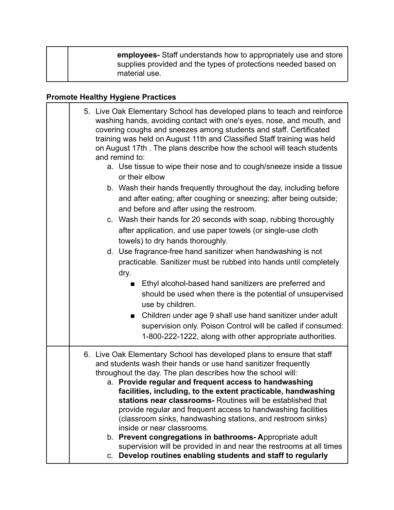| employees- Staff understands how to appropriately use and store<br>supplies provided and the types of protections needed based on |
|-----------------------------------------------------------------------------------------------------------------------------------|
| material use.                                                                                                                     |

## **Promote Healthy Hygiene Practices**

| 5. Live Oak Elementary School has developed plans to teach and reinforce<br>washing hands, avoiding contact with one's eyes, nose, and mouth, and<br>covering coughs and sneezes among students and staff. Certificated<br>training was held on August 11th and Classified Staff training was held<br>on August 17th. The plans describe how the school will teach students<br>and remind to: |  |
|-----------------------------------------------------------------------------------------------------------------------------------------------------------------------------------------------------------------------------------------------------------------------------------------------------------------------------------------------------------------------------------------------|--|
| a. Use tissue to wipe their nose and to cough/sneeze inside a tissue<br>or their elbow                                                                                                                                                                                                                                                                                                        |  |
| b. Wash their hands frequently throughout the day, including before<br>and after eating; after coughing or sneezing; after being outside;<br>and before and after using the restroom.                                                                                                                                                                                                         |  |
| c. Wash their hands for 20 seconds with soap, rubbing thoroughly<br>after application, and use paper towels (or single-use cloth<br>towels) to dry hands thoroughly.                                                                                                                                                                                                                          |  |
| d. Use fragrance-free hand sanitizer when handwashing is not<br>practicable. Sanitizer must be rubbed into hands until completely<br>dry.                                                                                                                                                                                                                                                     |  |
| Ethyl alcohol-based hand sanitizers are preferred and<br>should be used when there is the potential of unsupervised<br>use by children.                                                                                                                                                                                                                                                       |  |
| Children under age 9 shall use hand sanitizer under adult<br>$\blacksquare$<br>supervision only. Poison Control will be called if consumed:<br>1-800-222-1222, along with other appropriate authorities.                                                                                                                                                                                      |  |
| 6. Live Oak Elementary School has developed plans to ensure that staff<br>and students wash their hands or use hand sanitizer frequently<br>throughout the day. The plan describes how the school will:<br>a. Provide regular and frequent access to handwashing<br>facilities, including, to the extent practicable, handwashing                                                             |  |
| stations near classrooms- Routines will be established that<br>provide regular and frequent access to handwashing facilities<br>(classroom sinks, handwashing stations, and restroom sinks)<br>inside or near classrooms.<br>b. Prevent congregations in bathrooms-Appropriate adult                                                                                                          |  |
| supervision will be provided in and near the restrooms at all times<br>c. Develop routines enabling students and staff to regularly                                                                                                                                                                                                                                                           |  |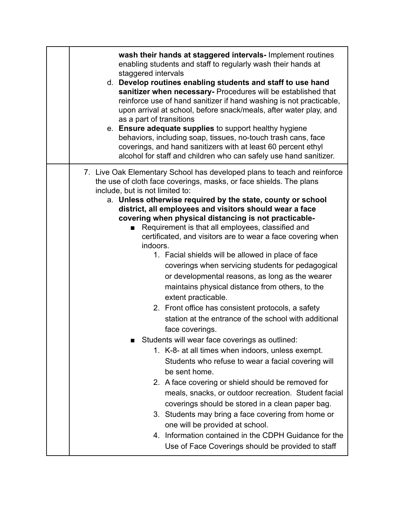| wash their hands at staggered intervals- Implement routines                                                                                    |
|------------------------------------------------------------------------------------------------------------------------------------------------|
| enabling students and staff to regularly wash their hands at                                                                                   |
| staggered intervals                                                                                                                            |
| d. Develop routines enabling students and staff to use hand<br>sanitizer when necessary- Procedures will be established that                   |
| reinforce use of hand sanitizer if hand washing is not practicable,                                                                            |
| upon arrival at school, before snack/meals, after water play, and                                                                              |
| as a part of transitions                                                                                                                       |
| e. Ensure adequate supplies to support healthy hygiene<br>behaviors, including soap, tissues, no-touch trash cans, face                        |
| coverings, and hand sanitizers with at least 60 percent ethyl                                                                                  |
| alcohol for staff and children who can safely use hand sanitizer.                                                                              |
| 7. Live Oak Elementary School has developed plans to teach and reinforce<br>the use of cloth face coverings, masks, or face shields. The plans |
| include, but is not limited to:<br>a. Unless otherwise required by the state, county or school                                                 |
| district, all employees and visitors should wear a face                                                                                        |
| covering when physical distancing is not practicable-                                                                                          |
| Requirement is that all employees, classified and                                                                                              |
| certificated, and visitors are to wear a face covering when<br>indoors.                                                                        |
| 1. Facial shields will be allowed in place of face                                                                                             |
| coverings when servicing students for pedagogical                                                                                              |
| or developmental reasons, as long as the wearer                                                                                                |
| maintains physical distance from others, to the                                                                                                |
| extent practicable.                                                                                                                            |
| 2. Front office has consistent protocols, a safety                                                                                             |
| station at the entrance of the school with additional                                                                                          |
| face coverings.                                                                                                                                |
| Students will wear face coverings as outlined:                                                                                                 |
| 1. K-8- at all times when indoors, unless exempt.                                                                                              |
| Students who refuse to wear a facial covering will                                                                                             |
| be sent home.                                                                                                                                  |
| 2. A face covering or shield should be removed for                                                                                             |
| meals, snacks, or outdoor recreation. Student facial<br>coverings should be stored in a clean paper bag.                                       |
| 3. Students may bring a face covering from home or                                                                                             |
| one will be provided at school.                                                                                                                |
| 4. Information contained in the CDPH Guidance for the                                                                                          |
| Use of Face Coverings should be provided to staff                                                                                              |
|                                                                                                                                                |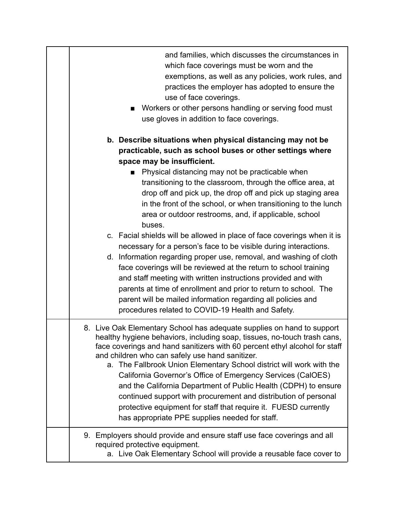| and families, which discusses the circumstances in<br>which face coverings must be worn and the<br>exemptions, as well as any policies, work rules, and<br>practices the employer has adopted to ensure the<br>use of face coverings.<br>Workers or other persons handling or serving food must<br>use gloves in addition to face coverings.                                                                                                                                                                                                                                                                                                                                          |
|---------------------------------------------------------------------------------------------------------------------------------------------------------------------------------------------------------------------------------------------------------------------------------------------------------------------------------------------------------------------------------------------------------------------------------------------------------------------------------------------------------------------------------------------------------------------------------------------------------------------------------------------------------------------------------------|
| b. Describe situations when physical distancing may not be<br>practicable, such as school buses or other settings where<br>space may be insufficient.<br>Physical distancing may not be practicable when<br>transitioning to the classroom, through the office area, at<br>drop off and pick up, the drop off and pick up staging area<br>in the front of the school, or when transitioning to the lunch<br>area or outdoor restrooms, and, if applicable, school                                                                                                                                                                                                                     |
| buses.<br>c. Facial shields will be allowed in place of face coverings when it is<br>necessary for a person's face to be visible during interactions.<br>d. Information regarding proper use, removal, and washing of cloth<br>face coverings will be reviewed at the return to school training<br>and staff meeting with written instructions provided and with<br>parents at time of enrollment and prior to return to school. The<br>parent will be mailed information regarding all policies and<br>procedures related to COVID-19 Health and Safety.                                                                                                                             |
| 8. Live Oak Elementary School has adequate supplies on hand to support<br>healthy hygiene behaviors, including soap, tissues, no-touch trash cans,<br>face coverings and hand sanitizers with 60 percent ethyl alcohol for staff<br>and children who can safely use hand sanitizer.<br>a. The Fallbrook Union Elementary School district will work with the<br>California Governor's Office of Emergency Services (CalOES)<br>and the California Department of Public Health (CDPH) to ensure<br>continued support with procurement and distribution of personal<br>protective equipment for staff that require it. FUESD currently<br>has appropriate PPE supplies needed for staff. |
| 9. Employers should provide and ensure staff use face coverings and all<br>required protective equipment.<br>a. Live Oak Elementary School will provide a reusable face cover to                                                                                                                                                                                                                                                                                                                                                                                                                                                                                                      |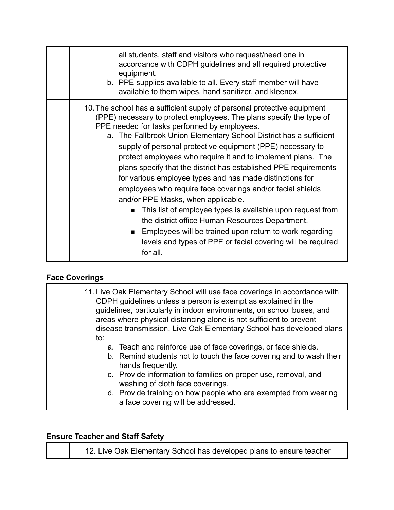| all students, staff and visitors who request/need one in<br>accordance with CDPH guidelines and all required protective<br>equipment.<br>b. PPE supplies available to all. Every staff member will have<br>available to them wipes, hand sanitizer, and kleenex.                                                                                                                                                                                                                                                                                                                                                                                                                                                                                                                                                                                                                                                                |
|---------------------------------------------------------------------------------------------------------------------------------------------------------------------------------------------------------------------------------------------------------------------------------------------------------------------------------------------------------------------------------------------------------------------------------------------------------------------------------------------------------------------------------------------------------------------------------------------------------------------------------------------------------------------------------------------------------------------------------------------------------------------------------------------------------------------------------------------------------------------------------------------------------------------------------|
| 10. The school has a sufficient supply of personal protective equipment<br>(PPE) necessary to protect employees. The plans specify the type of<br>PPE needed for tasks performed by employees.<br>a. The Fallbrook Union Elementary School District has a sufficient<br>supply of personal protective equipment (PPE) necessary to<br>protect employees who require it and to implement plans. The<br>plans specify that the district has established PPE requirements<br>for various employee types and has made distinctions for<br>employees who require face coverings and/or facial shields<br>and/or PPE Masks, when applicable.<br>This list of employee types is available upon request from<br>$\mathbf{r}$<br>the district office Human Resources Department.<br>Employees will be trained upon return to work regarding<br>$\blacksquare$<br>levels and types of PPE or facial covering will be required<br>for all. |

# **Face Coverings**

| to: | 11. Live Oak Elementary School will use face coverings in accordance with<br>CDPH guidelines unless a person is exempt as explained in the<br>guidelines, particularly in indoor environments, on school buses, and<br>areas where physical distancing alone is not sufficient to prevent<br>disease transmission. Live Oak Elementary School has developed plans         |
|-----|---------------------------------------------------------------------------------------------------------------------------------------------------------------------------------------------------------------------------------------------------------------------------------------------------------------------------------------------------------------------------|
|     | a. Teach and reinforce use of face coverings, or face shields.<br>b. Remind students not to touch the face covering and to wash their<br>hands frequently.<br>c. Provide information to families on proper use, removal, and<br>washing of cloth face coverings.<br>d. Provide training on how people who are exempted from wearing<br>a face covering will be addressed. |

## **Ensure Teacher and Staff Safety**

| 12. Live Oak Elementary School has developed plans to ensure teacher |
|----------------------------------------------------------------------|
|----------------------------------------------------------------------|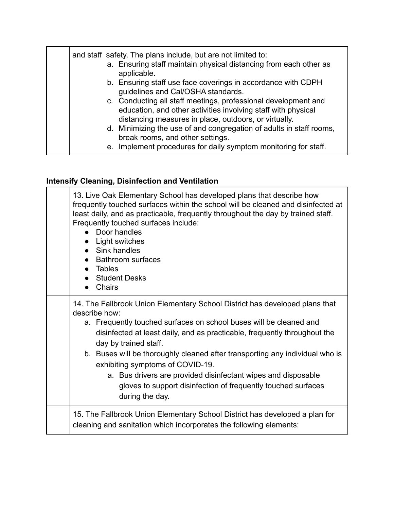| and staff safety. The plans include, but are not limited to:<br>a. Ensuring staff maintain physical distancing from each other as<br>applicable.<br>b. Ensuring staff use face coverings in accordance with CDPH<br>guidelines and Cal/OSHA standards.<br>c. Conducting all staff meetings, professional development and<br>education, and other activities involving staff with physical<br>distancing measures in place, outdoors, or virtually.<br>d. Minimizing the use of and congregation of adults in staff rooms,<br>break rooms, and other settings. |
|---------------------------------------------------------------------------------------------------------------------------------------------------------------------------------------------------------------------------------------------------------------------------------------------------------------------------------------------------------------------------------------------------------------------------------------------------------------------------------------------------------------------------------------------------------------|
| e. Implement procedures for daily symptom monitoring for staff.                                                                                                                                                                                                                                                                                                                                                                                                                                                                                               |

## **Intensify Cleaning, Disinfection and Ventilation**

| 13. Live Oak Elementary School has developed plans that describe how<br>frequently touched surfaces within the school will be cleaned and disinfected at<br>least daily, and as practicable, frequently throughout the day by trained staff.<br>Frequently touched surfaces include:<br>Door handles<br>Light switches<br>• Sink handles<br><b>Bathroom surfaces</b><br>• Tables<br>• Student Desks<br><b>Chairs</b>                                                                                                                              |
|---------------------------------------------------------------------------------------------------------------------------------------------------------------------------------------------------------------------------------------------------------------------------------------------------------------------------------------------------------------------------------------------------------------------------------------------------------------------------------------------------------------------------------------------------|
| 14. The Fallbrook Union Elementary School District has developed plans that<br>describe how:<br>a. Frequently touched surfaces on school buses will be cleaned and<br>disinfected at least daily, and as practicable, frequently throughout the<br>day by trained staff.<br>b. Buses will be thoroughly cleaned after transporting any individual who is<br>exhibiting symptoms of COVID-19.<br>a. Bus drivers are provided disinfectant wipes and disposable<br>gloves to support disinfection of frequently touched surfaces<br>during the day. |
| 15. The Fallbrook Union Elementary School District has developed a plan for<br>cleaning and sanitation which incorporates the following elements:                                                                                                                                                                                                                                                                                                                                                                                                 |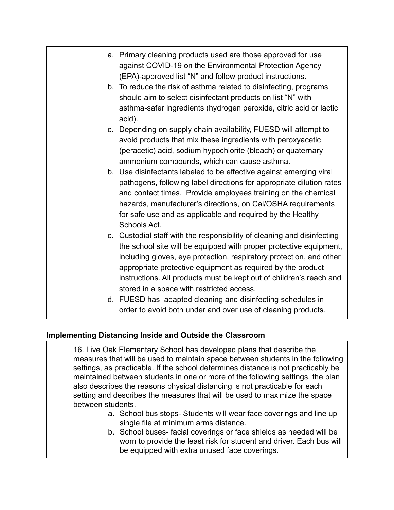|  | a. Primary cleaning products used are those approved for use<br>against COVID-19 on the Environmental Protection Agency<br>(EPA)-approved list "N" and follow product instructions.                                                                                                                                                                                                                     |
|--|---------------------------------------------------------------------------------------------------------------------------------------------------------------------------------------------------------------------------------------------------------------------------------------------------------------------------------------------------------------------------------------------------------|
|  | b. To reduce the risk of asthma related to disinfecting, programs<br>should aim to select disinfectant products on list "N" with<br>asthma-safer ingredients (hydrogen peroxide, citric acid or lactic<br>acid).                                                                                                                                                                                        |
|  | c. Depending on supply chain availability, FUESD will attempt to<br>avoid products that mix these ingredients with peroxyacetic<br>(peracetic) acid, sodium hypochlorite (bleach) or quaternary<br>ammonium compounds, which can cause asthma.                                                                                                                                                          |
|  | b. Use disinfectants labeled to be effective against emerging viral<br>pathogens, following label directions for appropriate dilution rates<br>and contact times. Provide employees training on the chemical<br>hazards, manufacturer's directions, on Cal/OSHA requirements<br>for safe use and as applicable and required by the Healthy<br>Schools Act.                                              |
|  | c. Custodial staff with the responsibility of cleaning and disinfecting<br>the school site will be equipped with proper protective equipment,<br>including gloves, eye protection, respiratory protection, and other<br>appropriate protective equipment as required by the product<br>instructions. All products must be kept out of children's reach and<br>stored in a space with restricted access. |
|  | d. FUESD has adapted cleaning and disinfecting schedules in<br>order to avoid both under and over use of cleaning products.                                                                                                                                                                                                                                                                             |

#### **Implementing Distancing Inside and Outside the Classroom**

16. Live Oak Elementary School has developed plans that describe the measures that will be used to maintain space between students in the following settings, as practicable. If the school determines distance is not practicably be maintained between students in one or more of the following settings, the plan also describes the reasons physical distancing is not practicable for each setting and describes the measures that will be used to maximize the space between students.

- a. School bus stops- Students will wear face coverings and line up single file at minimum arms distance.
- b. School buses- facial coverings or face shields as needed will be worn to provide the least risk for student and driver. Each bus will be equipped with extra unused face coverings.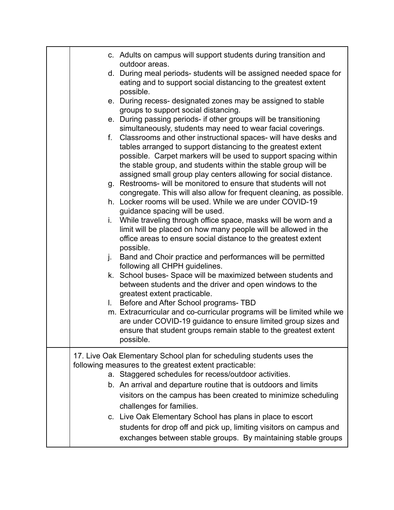| c. Adults on campus will support students during transition and<br>outdoor areas.<br>d. During meal periods-students will be assigned needed space for<br>eating and to support social distancing to the greatest extent<br>possible.<br>e. During recess- designated zones may be assigned to stable<br>groups to support social distancing.<br>e. During passing periods- if other groups will be transitioning<br>simultaneously, students may need to wear facial coverings.<br>f. Classrooms and other instructional spaces- will have desks and<br>tables arranged to support distancing to the greatest extent<br>possible. Carpet markers will be used to support spacing within<br>the stable group, and students within the stable group will be<br>assigned small group play centers allowing for social distance.<br>g. Restrooms- will be monitored to ensure that students will not<br>congregate. This will also allow for frequent cleaning, as possible.<br>h. Locker rooms will be used. While we are under COVID-19<br>guidance spacing will be used.<br>i. While traveling through office space, masks will be worn and a<br>limit will be placed on how many people will be allowed in the<br>office areas to ensure social distance to the greatest extent<br>possible.<br>Band and Choir practice and performances will be permitted<br>j.<br>following all CHPH guidelines.<br>k. School buses- Space will be maximized between students and<br>between students and the driver and open windows to the<br>greatest extent practicable.<br>I. Before and After School programs-TBD |
|------------------------------------------------------------------------------------------------------------------------------------------------------------------------------------------------------------------------------------------------------------------------------------------------------------------------------------------------------------------------------------------------------------------------------------------------------------------------------------------------------------------------------------------------------------------------------------------------------------------------------------------------------------------------------------------------------------------------------------------------------------------------------------------------------------------------------------------------------------------------------------------------------------------------------------------------------------------------------------------------------------------------------------------------------------------------------------------------------------------------------------------------------------------------------------------------------------------------------------------------------------------------------------------------------------------------------------------------------------------------------------------------------------------------------------------------------------------------------------------------------------------------------------------------------------------------------------------------------------|
| m. Extracurricular and co-curricular programs will be limited while we<br>are under COVID-19 guidance to ensure limited group sizes and<br>ensure that student groups remain stable to the greatest extent<br>possible.                                                                                                                                                                                                                                                                                                                                                                                                                                                                                                                                                                                                                                                                                                                                                                                                                                                                                                                                                                                                                                                                                                                                                                                                                                                                                                                                                                                    |
| 17. Live Oak Elementary School plan for scheduling students uses the<br>following measures to the greatest extent practicable:<br>a. Staggered schedules for recess/outdoor activities.<br>b. An arrival and departure routine that is outdoors and limits<br>visitors on the campus has been created to minimize scheduling<br>challenges for families.<br>c. Live Oak Elementary School has plans in place to escort<br>students for drop off and pick up, limiting visitors on campus and<br>exchanges between stable groups. By maintaining stable groups                                                                                                                                                                                                                                                                                                                                                                                                                                                                                                                                                                                                                                                                                                                                                                                                                                                                                                                                                                                                                                              |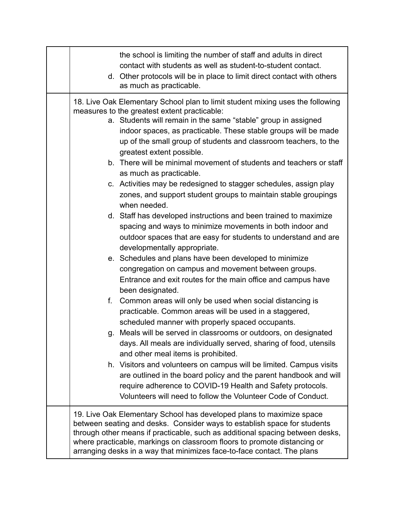| the school is limiting the number of staff and adults in direct<br>contact with students as well as student-to-student contact.<br>d. Other protocols will be in place to limit direct contact with others<br>as much as practicable.                                                                                                                                                                                                                                                                                                                                                                                                                                                                                                                                                                                                                                                                                                                                                                                                                                                                                                                                                                                                                                                                                                                                                                                                                                                                                                                                                                                                                                                                              |
|--------------------------------------------------------------------------------------------------------------------------------------------------------------------------------------------------------------------------------------------------------------------------------------------------------------------------------------------------------------------------------------------------------------------------------------------------------------------------------------------------------------------------------------------------------------------------------------------------------------------------------------------------------------------------------------------------------------------------------------------------------------------------------------------------------------------------------------------------------------------------------------------------------------------------------------------------------------------------------------------------------------------------------------------------------------------------------------------------------------------------------------------------------------------------------------------------------------------------------------------------------------------------------------------------------------------------------------------------------------------------------------------------------------------------------------------------------------------------------------------------------------------------------------------------------------------------------------------------------------------------------------------------------------------------------------------------------------------|
| 18. Live Oak Elementary School plan to limit student mixing uses the following<br>measures to the greatest extent practicable:<br>a. Students will remain in the same "stable" group in assigned<br>indoor spaces, as practicable. These stable groups will be made<br>up of the small group of students and classroom teachers, to the<br>greatest extent possible.<br>b. There will be minimal movement of students and teachers or staff<br>as much as practicable.<br>c. Activities may be redesigned to stagger schedules, assign play<br>zones, and support student groups to maintain stable groupings<br>when needed.<br>d. Staff has developed instructions and been trained to maximize<br>spacing and ways to minimize movements in both indoor and<br>outdoor spaces that are easy for students to understand and are<br>developmentally appropriate.<br>e. Schedules and plans have been developed to minimize<br>congregation on campus and movement between groups.<br>Entrance and exit routes for the main office and campus have<br>been designated.<br>Common areas will only be used when social distancing is<br>f.<br>practicable. Common areas will be used in a staggered,<br>scheduled manner with properly spaced occupants.<br>g. Meals will be served in classrooms or outdoors, on designated<br>days. All meals are individually served, sharing of food, utensils<br>and other meal items is prohibited.<br>h. Visitors and volunteers on campus will be limited. Campus visits<br>are outlined in the board policy and the parent handbook and will<br>require adherence to COVID-19 Health and Safety protocols.<br>Volunteers will need to follow the Volunteer Code of Conduct. |
| 19. Live Oak Elementary School has developed plans to maximize space<br>between seating and desks. Consider ways to establish space for students<br>through other means if practicable, such as additional spacing between desks,<br>where practicable, markings on classroom floors to promote distancing or<br>arranging desks in a way that minimizes face-to-face contact. The plans                                                                                                                                                                                                                                                                                                                                                                                                                                                                                                                                                                                                                                                                                                                                                                                                                                                                                                                                                                                                                                                                                                                                                                                                                                                                                                                           |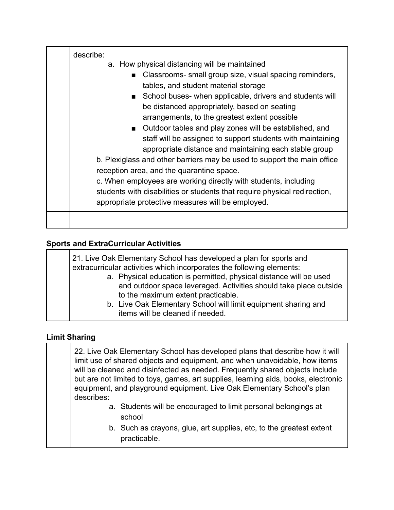| describe:<br>a. How physical distancing will be maintained<br>Classrooms- small group size, visual spacing reminders,<br>$\blacksquare$<br>tables, and student material storage<br>■ School buses- when applicable, drivers and students will<br>be distanced appropriately, based on seating<br>arrangements, to the greatest extent possible<br>■ Outdoor tables and play zones will be established, and<br>staff will be assigned to support students with maintaining<br>appropriate distance and maintaining each stable group<br>b. Plexiglass and other barriers may be used to support the main office<br>reception area, and the quarantine space.<br>c. When employees are working directly with students, including<br>students with disabilities or students that require physical redirection,<br>appropriate protective measures will be employed. |
|------------------------------------------------------------------------------------------------------------------------------------------------------------------------------------------------------------------------------------------------------------------------------------------------------------------------------------------------------------------------------------------------------------------------------------------------------------------------------------------------------------------------------------------------------------------------------------------------------------------------------------------------------------------------------------------------------------------------------------------------------------------------------------------------------------------------------------------------------------------|
|                                                                                                                                                                                                                                                                                                                                                                                                                                                                                                                                                                                                                                                                                                                                                                                                                                                                  |

#### **Sports and ExtraCurricular Activities**

|  |  | a. Physical education is permitted, physical distance will be used<br>and outdoor space leveraged. Activities should take place outside<br>to the maximum extent practicable.<br>b. Live Oak Elementary School will limit equipment sharing and<br>items will be cleaned if needed. |
|--|--|-------------------------------------------------------------------------------------------------------------------------------------------------------------------------------------------------------------------------------------------------------------------------------------|
|--|--|-------------------------------------------------------------------------------------------------------------------------------------------------------------------------------------------------------------------------------------------------------------------------------------|

#### **Limit Sharing**

22. Live Oak Elementary School has developed plans that describe how it will limit use of shared objects and equipment, and when unavoidable, how items will be cleaned and disinfected as needed. Frequently shared objects include but are not limited to toys, games, art supplies, learning aids, books, electronic equipment, and playground equipment. Live Oak Elementary School's plan describes: a. Students will be encouraged to limit personal belongings at school

b. Such as crayons, glue, art supplies, etc, to the greatest extent practicable.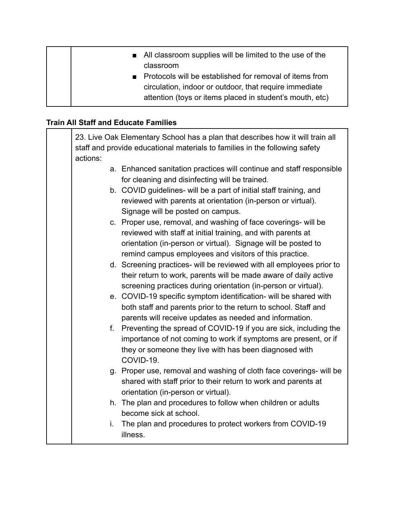|  | ■ All classroom supplies will be limited to the use of the<br>classroom                                                                                                         |
|--|---------------------------------------------------------------------------------------------------------------------------------------------------------------------------------|
|  | ■ Protocols will be established for removal of items from<br>circulation, indoor or outdoor, that require immediate<br>attention (toys or items placed in student's mouth, etc) |

## **Train All Staff and Educate Families**

|          | 23. Live Oak Elementary School has a plan that describes how it will train all<br>staff and provide educational materials to families in the following safety                                                                                             |
|----------|-----------------------------------------------------------------------------------------------------------------------------------------------------------------------------------------------------------------------------------------------------------|
| actions: |                                                                                                                                                                                                                                                           |
|          | a. Enhanced sanitation practices will continue and staff responsible<br>for cleaning and disinfecting will be trained.                                                                                                                                    |
|          | b. COVID guidelines- will be a part of initial staff training, and<br>reviewed with parents at orientation (in-person or virtual).<br>Signage will be posted on campus.                                                                                   |
|          | c. Proper use, removal, and washing of face coverings- will be<br>reviewed with staff at initial training, and with parents at<br>orientation (in-person or virtual). Signage will be posted to<br>remind campus employees and visitors of this practice. |
|          | d. Screening practices- will be reviewed with all employees prior to<br>their return to work, parents will be made aware of daily active<br>screening practices during orientation (in-person or virtual).                                                |
|          | e. COVID-19 specific symptom identification- will be shared with<br>both staff and parents prior to the return to school. Staff and<br>parents will receive updates as needed and information.                                                            |
|          | f. Preventing the spread of COVID-19 if you are sick, including the<br>importance of not coming to work if symptoms are present, or if<br>they or someone they live with has been diagnosed with<br>COVID-19.                                             |
|          | g. Proper use, removal and washing of cloth face coverings- will be<br>shared with staff prior to their return to work and parents at<br>orientation (in-person or virtual).                                                                              |
|          | h. The plan and procedures to follow when children or adults<br>become sick at school.                                                                                                                                                                    |
| i.       | The plan and procedures to protect workers from COVID-19<br>illness.                                                                                                                                                                                      |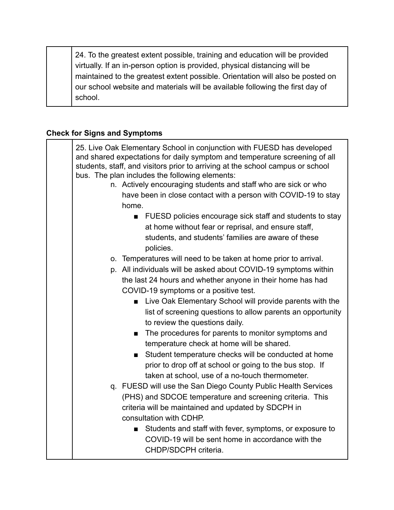24. To the greatest extent possible, training and education will be provided virtually. If an in-person option is provided, physical distancing will be maintained to the greatest extent possible. Orientation will also be posted on our school website and materials will be available following the first day of school.

### **Check for Signs and Symptoms**

| 25. Live Oak Elementary School in conjunction with FUESD has developed<br>and shared expectations for daily symptom and temperature screening of all<br>students, staff, and visitors prior to arriving at the school campus or school<br>bus. The plan includes the following elements:<br>n. Actively encouraging students and staff who are sick or who<br>have been in close contact with a person with COVID-19 to stay<br>home. |
|---------------------------------------------------------------------------------------------------------------------------------------------------------------------------------------------------------------------------------------------------------------------------------------------------------------------------------------------------------------------------------------------------------------------------------------|
| FUESD policies encourage sick staff and students to stay<br>$\blacksquare$<br>at home without fear or reprisal, and ensure staff,<br>students, and students' families are aware of these<br>policies.                                                                                                                                                                                                                                 |
| o. Temperatures will need to be taken at home prior to arrival.                                                                                                                                                                                                                                                                                                                                                                       |
| p. All individuals will be asked about COVID-19 symptoms within                                                                                                                                                                                                                                                                                                                                                                       |
| the last 24 hours and whether anyone in their home has had                                                                                                                                                                                                                                                                                                                                                                            |
| COVID-19 symptoms or a positive test.                                                                                                                                                                                                                                                                                                                                                                                                 |
|                                                                                                                                                                                                                                                                                                                                                                                                                                       |
| <b>Example 2</b> Live Oak Elementary School will provide parents with the                                                                                                                                                                                                                                                                                                                                                             |
| list of screening questions to allow parents an opportunity<br>to review the questions daily.                                                                                                                                                                                                                                                                                                                                         |
| The procedures for parents to monitor symptoms and                                                                                                                                                                                                                                                                                                                                                                                    |
| temperature check at home will be shared.                                                                                                                                                                                                                                                                                                                                                                                             |
| Student temperature checks will be conducted at home                                                                                                                                                                                                                                                                                                                                                                                  |
| prior to drop off at school or going to the bus stop. If                                                                                                                                                                                                                                                                                                                                                                              |
| taken at school, use of a no-touch thermometer.                                                                                                                                                                                                                                                                                                                                                                                       |
| q. FUESD will use the San Diego County Public Health Services                                                                                                                                                                                                                                                                                                                                                                         |
| (PHS) and SDCOE temperature and screening criteria. This                                                                                                                                                                                                                                                                                                                                                                              |
|                                                                                                                                                                                                                                                                                                                                                                                                                                       |
| criteria will be maintained and updated by SDCPH in                                                                                                                                                                                                                                                                                                                                                                                   |
| consultation with CDHP.                                                                                                                                                                                                                                                                                                                                                                                                               |
| Students and staff with fever, symptoms, or exposure to<br>■                                                                                                                                                                                                                                                                                                                                                                          |
| COVID-19 will be sent home in accordance with the                                                                                                                                                                                                                                                                                                                                                                                     |
| CHDP/SDCPH criteria.                                                                                                                                                                                                                                                                                                                                                                                                                  |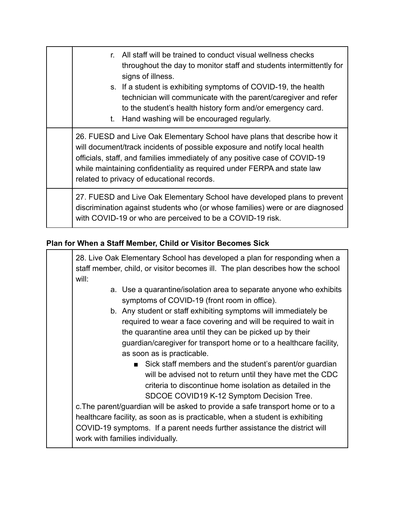| All staff will be trained to conduct visual wellness checks<br>$r_{\rm{c}}$                                                                                                                                                                                                                                                                                    |
|----------------------------------------------------------------------------------------------------------------------------------------------------------------------------------------------------------------------------------------------------------------------------------------------------------------------------------------------------------------|
| throughout the day to monitor staff and students intermittently for<br>signs of illness.                                                                                                                                                                                                                                                                       |
| s. If a student is exhibiting symptoms of COVID-19, the health<br>technician will communicate with the parent/caregiver and refer<br>to the student's health history form and/or emergency card.<br>Hand washing will be encouraged regularly.<br>t.                                                                                                           |
| 26. FUESD and Live Oak Elementary School have plans that describe how it<br>will document/track incidents of possible exposure and notify local health<br>officials, staff, and families immediately of any positive case of COVID-19<br>while maintaining confidentiality as required under FERPA and state law<br>related to privacy of educational records. |
| 27. FUESD and Live Oak Elementary School have developed plans to prevent<br>discrimination against students who (or whose families) were or are diagnosed<br>with COVID-19 or who are perceived to be a COVID-19 risk.                                                                                                                                         |

#### **Plan for When a Staff Member, Child or Visitor Becomes Sick**

28. Live Oak Elementary School has developed a plan for responding when a staff member, child, or visitor becomes ill. The plan describes how the school will:

- a. Use a quarantine/isolation area to separate anyone who exhibits symptoms of COVID-19 (front room in office).
- b. Any student or staff exhibiting symptoms will immediately be required to wear a face covering and will be required to wait in the quarantine area until they can be picked up by their guardian/caregiver for transport home or to a healthcare facility, as soon as is practicable.
	- Sick staff members and the student's parent/or guardian will be advised not to return until they have met the CDC criteria to discontinue home isolation as detailed in the SDCOE COVID19 K-12 Symptom Decision Tree.

c.The parent/guardian will be asked to provide a safe transport home or to a healthcare facility, as soon as is practicable, when a student is exhibiting COVID-19 symptoms. If a parent needs further assistance the district will work with families individually.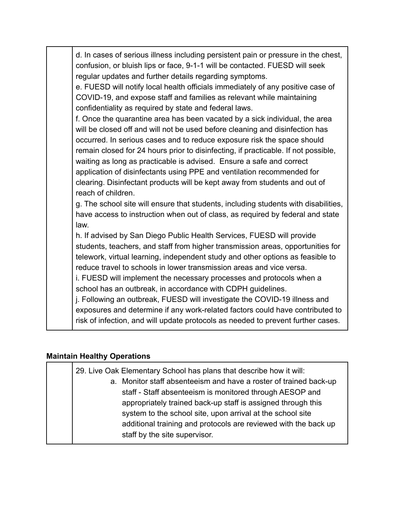| d. In cases of serious illness including persistent pain or pressure in the chest,<br>confusion, or bluish lips or face, 9-1-1 will be contacted. FUESD will seek<br>regular updates and further details regarding symptoms.<br>e. FUESD will notify local health officials immediately of any positive case of<br>COVID-19, and expose staff and families as relevant while maintaining<br>confidentiality as required by state and federal laws.<br>f. Once the quarantine area has been vacated by a sick individual, the area<br>will be closed off and will not be used before cleaning and disinfection has<br>occurred. In serious cases and to reduce exposure risk the space should<br>remain closed for 24 hours prior to disinfecting, if practicable. If not possible,<br>waiting as long as practicable is advised. Ensure a safe and correct<br>application of disinfectants using PPE and ventilation recommended for<br>clearing. Disinfectant products will be kept away from students and out of<br>reach of children.<br>g. The school site will ensure that students, including students with disabilities,<br>have access to instruction when out of class, as required by federal and state<br>law. |
|---------------------------------------------------------------------------------------------------------------------------------------------------------------------------------------------------------------------------------------------------------------------------------------------------------------------------------------------------------------------------------------------------------------------------------------------------------------------------------------------------------------------------------------------------------------------------------------------------------------------------------------------------------------------------------------------------------------------------------------------------------------------------------------------------------------------------------------------------------------------------------------------------------------------------------------------------------------------------------------------------------------------------------------------------------------------------------------------------------------------------------------------------------------------------------------------------------------------------|
| h. If advised by San Diego Public Health Services, FUESD will provide<br>students, teachers, and staff from higher transmission areas, opportunities for<br>telework, virtual learning, independent study and other options as feasible to<br>reduce travel to schools in lower transmission areas and vice versa.<br>i. FUESD will implement the necessary processes and protocols when a<br>school has an outbreak, in accordance with CDPH guidelines.<br>j. Following an outbreak, FUESD will investigate the COVID-19 illness and<br>exposures and determine if any work-related factors could have contributed to<br>risk of infection, and will update protocols as needed to prevent further cases.                                                                                                                                                                                                                                                                                                                                                                                                                                                                                                               |

# **Maintain Healthy Operations**

| 29. Live Oak Elementary School has plans that describe how it will:<br>a. Monitor staff absenteeism and have a roster of trained back-up                                                                                                                                                   |
|--------------------------------------------------------------------------------------------------------------------------------------------------------------------------------------------------------------------------------------------------------------------------------------------|
| staff - Staff absenteeism is monitored through AESOP and<br>appropriately trained back-up staff is assigned through this<br>system to the school site, upon arrival at the school site<br>additional training and protocols are reviewed with the back up<br>staff by the site supervisor. |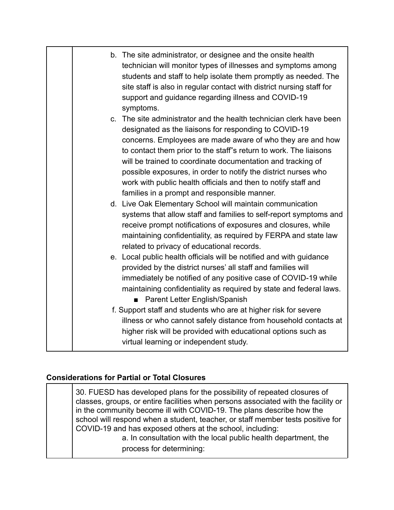| b. The site administrator, or designee and the onsite health<br>technician will monitor types of illnesses and symptoms among<br>students and staff to help isolate them promptly as needed. The<br>site staff is also in regular contact with district nursing staff for<br>support and guidance regarding illness and COVID-19<br>symptoms.<br>c. The site administrator and the health technician clerk have been<br>designated as the liaisons for responding to COVID-19<br>concerns. Employees are made aware of who they are and how<br>to contact them prior to the staff"s return to work. The liaisons<br>will be trained to coordinate documentation and tracking of<br>possible exposures, in order to notify the district nurses who<br>work with public health officials and then to notify staff and<br>families in a prompt and responsible manner.<br>d. Live Oak Elementary School will maintain communication<br>systems that allow staff and families to self-report symptoms and<br>receive prompt notifications of exposures and closures, while<br>maintaining confidentiality, as required by FERPA and state law<br>related to privacy of educational records.<br>e. Local public health officials will be notified and with guidance<br>provided by the district nurses' all staff and families will<br>immediately be notified of any positive case of COVID-19 while<br>maintaining confidentiality as required by state and federal laws.<br>Parent Letter English/Spanish<br>$\blacksquare$<br>f. Support staff and students who are at higher risk for severe<br>illness or who cannot safely distance from household contacts at<br>higher risk will be provided with educational options such as<br>virtual learning or independent study. |  |
|-----------------------------------------------------------------------------------------------------------------------------------------------------------------------------------------------------------------------------------------------------------------------------------------------------------------------------------------------------------------------------------------------------------------------------------------------------------------------------------------------------------------------------------------------------------------------------------------------------------------------------------------------------------------------------------------------------------------------------------------------------------------------------------------------------------------------------------------------------------------------------------------------------------------------------------------------------------------------------------------------------------------------------------------------------------------------------------------------------------------------------------------------------------------------------------------------------------------------------------------------------------------------------------------------------------------------------------------------------------------------------------------------------------------------------------------------------------------------------------------------------------------------------------------------------------------------------------------------------------------------------------------------------------------------------------------------------------------------------------------------------------------------------|--|
|                                                                                                                                                                                                                                                                                                                                                                                                                                                                                                                                                                                                                                                                                                                                                                                                                                                                                                                                                                                                                                                                                                                                                                                                                                                                                                                                                                                                                                                                                                                                                                                                                                                                                                                                                                             |  |
|                                                                                                                                                                                                                                                                                                                                                                                                                                                                                                                                                                                                                                                                                                                                                                                                                                                                                                                                                                                                                                                                                                                                                                                                                                                                                                                                                                                                                                                                                                                                                                                                                                                                                                                                                                             |  |
|                                                                                                                                                                                                                                                                                                                                                                                                                                                                                                                                                                                                                                                                                                                                                                                                                                                                                                                                                                                                                                                                                                                                                                                                                                                                                                                                                                                                                                                                                                                                                                                                                                                                                                                                                                             |  |
|                                                                                                                                                                                                                                                                                                                                                                                                                                                                                                                                                                                                                                                                                                                                                                                                                                                                                                                                                                                                                                                                                                                                                                                                                                                                                                                                                                                                                                                                                                                                                                                                                                                                                                                                                                             |  |

#### **Considerations for Partial or Total Closures**

30. FUESD has developed plans for the possibility of repeated closures of classes, groups, or entire facilities when persons associated with the facility or in the community become ill with COVID-19. The plans describe how the school will respond when a student, teacher, or staff member tests positive for COVID-19 and has exposed others at the school, including: a. In consultation with the local public health department, the

process for determining: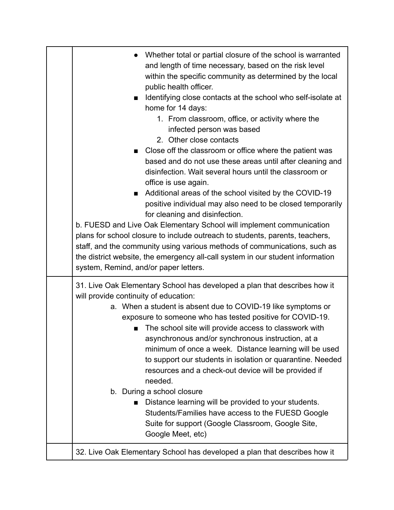| Whether total or partial closure of the school is warranted<br>and length of time necessary, based on the risk level<br>within the specific community as determined by the local<br>public health officer.<br>Identifying close contacts at the school who self-isolate at<br>home for 14 days:<br>1. From classroom, office, or activity where the<br>infected person was based<br>2. Other close contacts<br>Close off the classroom or office where the patient was<br>based and do not use these areas until after cleaning and<br>disinfection. Wait several hours until the classroom or<br>office is use again.<br>Additional areas of the school visited by the COVID-19<br>■<br>positive individual may also need to be closed temporarily<br>for cleaning and disinfection.<br>b. FUESD and Live Oak Elementary School will implement communication<br>plans for school closure to include outreach to students, parents, teachers,<br>staff, and the community using various methods of communications, such as<br>the district website, the emergency all-call system in our student information<br>system, Remind, and/or paper letters. |
|-------------------------------------------------------------------------------------------------------------------------------------------------------------------------------------------------------------------------------------------------------------------------------------------------------------------------------------------------------------------------------------------------------------------------------------------------------------------------------------------------------------------------------------------------------------------------------------------------------------------------------------------------------------------------------------------------------------------------------------------------------------------------------------------------------------------------------------------------------------------------------------------------------------------------------------------------------------------------------------------------------------------------------------------------------------------------------------------------------------------------------------------------------|
| 31. Live Oak Elementary School has developed a plan that describes how it<br>will provide continuity of education:<br>a. When a student is absent due to COVID-19 like symptoms or<br>exposure to someone who has tested positive for COVID-19.<br>■ The school site will provide access to classwork with<br>asynchronous and/or synchronous instruction, at a<br>minimum of once a week. Distance learning will be used<br>to support our students in isolation or quarantine. Needed<br>resources and a check-out device will be provided if<br>needed.<br>b. During a school closure<br>Distance learning will be provided to your students.<br>Students/Families have access to the FUESD Google<br>Suite for support (Google Classroom, Google Site,<br>Google Meet, etc)                                                                                                                                                                                                                                                                                                                                                                       |
| 32. Live Oak Elementary School has developed a plan that describes how it                                                                                                                                                                                                                                                                                                                                                                                                                                                                                                                                                                                                                                                                                                                                                                                                                                                                                                                                                                                                                                                                             |